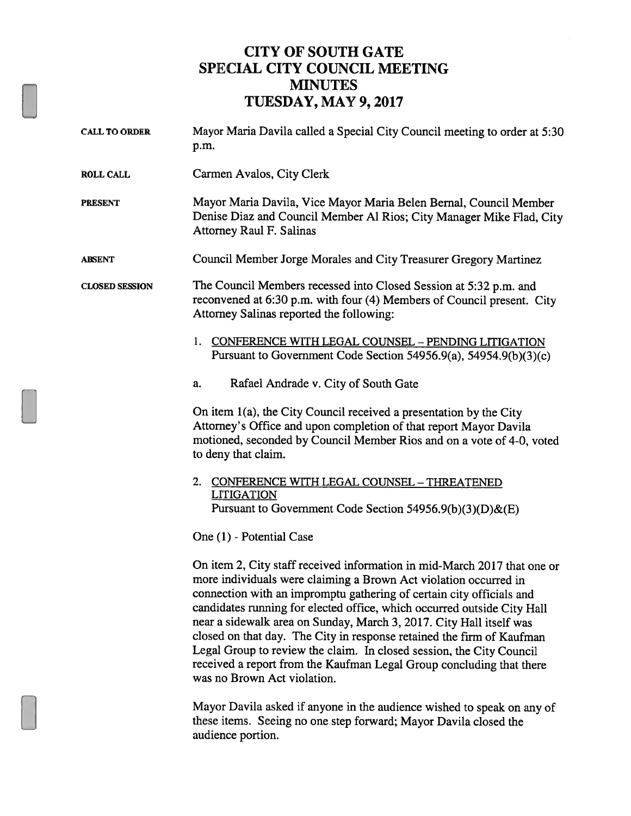## CITY OF SOUTH GATE SPECIAL CITY COUNCIL MEETING **MINUTES** TUESDAY, MAY 9, 2017

| <b>CALL TO ORDER</b>  | Mayor Maria Davila called a Special City Council meeting to order at 5:30<br>p.m.                                                                                                                                                                                                                                                                                                                                                                                                                                                                                                                                              |
|-----------------------|--------------------------------------------------------------------------------------------------------------------------------------------------------------------------------------------------------------------------------------------------------------------------------------------------------------------------------------------------------------------------------------------------------------------------------------------------------------------------------------------------------------------------------------------------------------------------------------------------------------------------------|
| <b>ROLL CALL</b>      | Carmen Avalos, City Clerk                                                                                                                                                                                                                                                                                                                                                                                                                                                                                                                                                                                                      |
| <b>PRESENT</b>        | Mayor Maria Davila, Vice Mayor Maria Belen Bernal, Council Member<br>Denise Diaz and Council Member Al Rios; City Manager Mike Flad, City<br><b>Attorney Raul F. Salinas</b>                                                                                                                                                                                                                                                                                                                                                                                                                                                   |
| <b>ABSENT</b>         | Council Member Jorge Morales and City Treasurer Gregory Martinez                                                                                                                                                                                                                                                                                                                                                                                                                                                                                                                                                               |
| <b>CLOSED SESSION</b> | The Council Members recessed into Closed Session at 5:32 p.m. and<br>reconvened at 6:30 p.m. with four (4) Members of Council present. City<br>Attorney Salinas reported the following:                                                                                                                                                                                                                                                                                                                                                                                                                                        |
|                       | 1. CONFERENCE WITH LEGAL COUNSEL - PENDING LITIGATION<br>Pursuant to Government Code Section 54956.9(a), 54954.9(b)(3)(c)                                                                                                                                                                                                                                                                                                                                                                                                                                                                                                      |
|                       | Rafael Andrade v. City of South Gate<br>a.                                                                                                                                                                                                                                                                                                                                                                                                                                                                                                                                                                                     |
|                       | On item 1(a), the City Council received a presentation by the City<br>Attorney's Office and upon completion of that report Mayor Davila<br>motioned, seconded by Council Member Rios and on a vote of 4-0, voted<br>to deny that claim.                                                                                                                                                                                                                                                                                                                                                                                        |
|                       | 2. CONFERENCE WITH LEGAL COUNSEL - THREATENED<br><b>LITIGATION</b><br>Pursuant to Government Code Section 54956.9(b)(3)(D)&(E)                                                                                                                                                                                                                                                                                                                                                                                                                                                                                                 |
|                       | One (1) - Potential Case                                                                                                                                                                                                                                                                                                                                                                                                                                                                                                                                                                                                       |
|                       | On item 2, City staff received information in mid-March 2017 that one or<br>more individuals were claiming a Brown Act violation occurred in<br>connection with an impromptu gathering of certain city officials and<br>candidates running for elected office, which occurred outside City Hall<br>near a sidewalk area on Sunday, March 3, 2017. City Hall itself was<br>closed on that day. The City in response retained the firm of Kaufman<br>Legal Group to review the claim. In closed session, the City Council<br>received a report from the Kaufman Legal Group concluding that there<br>was no Brown Act violation. |
|                       |                                                                                                                                                                                                                                                                                                                                                                                                                                                                                                                                                                                                                                |

Mayor Davila asked if anyone in the audience wished to speak on any of these items. Seeing no one step forward; Mayor Davila closed the audience portion.